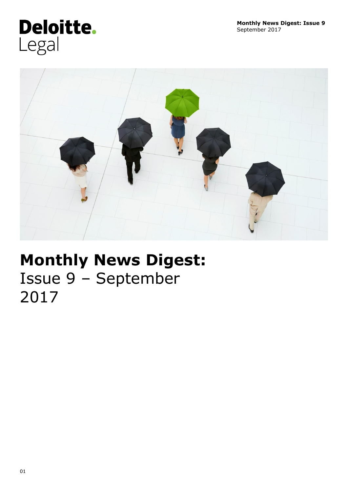# Deloitte. Legal



## **Monthly News Digest:** Issue 9 – September 2017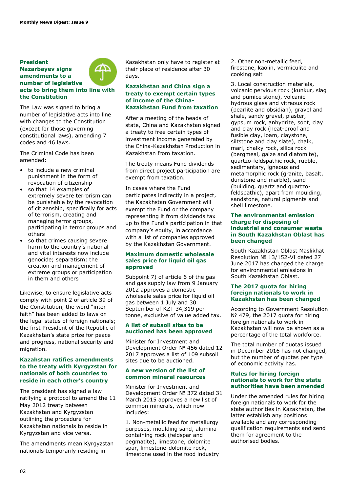#### **President Nazarbayev signs amendments to a number of legislative acts to bring them into line with the Constitution**



The Criminal Code has been amended:

- to include a new criminal punishment in the form of revocation of citizenship
- so that 14 examples of extremely severe terrorism can be punishable by the revocation of citizenship, specifically for acts of terrorism, creating and managing terror groups, participating in terror groups and others
- so that crimes causing severe harm to the country's national and vital interests now include genocide; separatism; the creation and management of extreme groups or participation in them and others

Likewise, to ensure legislative acts comply with point 2 of article 39 of the Constitution, the word "interfaith" has been added to laws on the legal status of foreign nationals; the first President of the Republic of Kazakhstan's state prize for peace and progress, national security and migration.

#### **Kazahstan ratifies amendments to the treaty with Kyrgyzstan for nationals of both countries to reside in each other's country**

The president has signed a law ratifying a protocol to amend the 11 May 2012 treaty between Kazakhstan and Kyrgyzstan outlining the procedure for Kazakhstan nationals to reside in Kyrgyzstan and vice versa.

The amendments mean Kyrgyzstan nationals temporarily residing in

Kazakhstan only have to register at their place of residence after 30 days.

#### **Kazakhstan and China sign a treaty to exempt certain types of income of the China-Kazakhstan Fund from taxation**

After a meeting of the heads of state, China and Kazakhstan signed a treaty to free certain types of investment income generated by the China-Kazakhstan Production in Kazakhstan from taxation.

The treaty means Fund dividends from direct project participation are exempt from taxation.

In cases where the Fund participates indirectly in a project, the Kazakhstan Government will exempt the Fund or the company representing it from dividends tax up to the Fund's participation in that company's equity, in accordance with a list of companies approved by the Kazakhstan Government.

#### **Maximum domestic wholesale sales price for liquid oil gas approved**

Subpoint 7) of article 6 of the gas and gas supply law from 9 January 2012 approves a domestic wholesale sales price for liquid oil gas between 1 July and 30 September of KZT 34,319 per tonne, exclusive of value added tax.

#### **A list of subsoil sites to be auctioned has been approved**

Minister for Investment and Development Order № 456 dated 12 2017 approves a list of 109 subsoil sites due to be auctioned.

#### **A new version of the list of common mineral resources**

Minister for Investment and Development Order № 372 dated 31 March 2015 approves a new list of common minerals, which now includes:

1. Non-metallic feed for metallurgy purposes, moulding sand, aluminacontaining rock (feldspar and pegmatite), limestone, dolomite spar, limestone-dolomite rock, limestone used in the food industry 2. Other non-metallic feed, firestone, kaolin, vermiculite and cooking salt

3. Local construction materials, volcanic pervious rock (kunkur, slag and pumice stone), volcanic hydrous glass and vitreous rock (pearlite and obsidian), gravel and shale, sandy gravel, plaster, gypsum rock, anhydrite, soot, clay and clay rock (heat-proof and fusible clay, loam, claystone, siltstone and clay slate), chalk, marl, chalky rock, silica rock (bergmeal, gaize and diatomite), quartzo-feldspathic rock, rubble, sedimentary, igneous and metamorphic rock (granite, basalt, dunstone and marble), sand (building, quartz and quartzofeldspathic), apart from moulding, sandstone, natural pigments and shell limestone.

#### **The environmental emission charge for disposing of industrial and consumer waste in South Kazakhstan Oblast has been changed**

South Kazakhstan Oblast Maslikhat Resolution № 13/152-VI dated 27 June 2017 has changed the charge for environmental emissions in South Kazakhstan Oblast.

#### **The 2017 quota for hiring foreign nationals to work in Kazakhstan has been changed**

According to Government Resolution № 479, the 2017 quota for hiring foreign nationals to work in Kazakhstan will now be shown as a percentage of the total workforce.

The total number of quotas issued in December 2016 has not changed, but the number of quotas per type of economic activity has.

#### **Rules for hiring foreign nationals to work for the state authorities have been amended**

Under the amended rules for hiring foreign nationals to work for the state authorities in Kazakhstan, the latter establish any positions available and any corresponding qualification requirements and send them for agreement to the authorised bodies.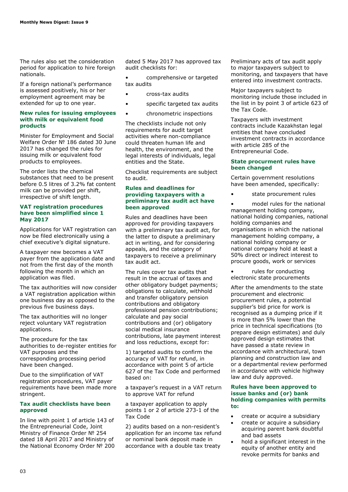The rules also set the consideration period for application to hire foreign nationals.

If a foreign national's performance is assessed positively, his or her employment agreement may be extended for up to one year.

#### **New rules for issuing employees with milk or equivalent food products**

Minister for Employment and Social Welfare Order № 186 dated 30 June 2017 has changed the rules for issuing milk or equivalent food products to employees.

The order lists the chemical substances that need to be present before 0.5 litres of 3.2% fat content milk can be provided per shift, irrespective of shift length.

#### **VAT registration procedures have been simplified since 1 May 2017**

Applications for VAT registration can now be filed electronically using a chief executive's digital signature.

A taxpayer new becomes a VAT payer from the application date and not from the first day of the month following the month in which an application was filed.

The tax authorities will now consider a VAT registration application within one business day as opposed to the previous five business days.

The tax authorities will no longer reject voluntary VAT registration applications.

The procedure for the tax authorities to de-register entities for VAT purposes and the corresponding processing period have been changed.

Due to the simplification of VAT registration procedures, VAT payer requirements have been made more stringent.

#### **Tax audit checklists have been approved**

In line with point 1 of article 143 of the Entrepreneurial Code, Joint Ministry of Finance Order № 254 dated 18 April 2017 and Ministry of the National Economy Order № 200 dated 5 May 2017 has approved tax audit checklists for:

• comprehensive or targeted tax audits

- cross-tax audits
- specific targeted tax audits
- chronometric inspections

The checklists include not only requirements for audit target activities where non-compliance could threaten human life and health, the environment, and the legal interests of individuals, legal entities and the State.

Checklist requirements are subject to audit.

#### **Rules and deadlines for providing taxpayers with a preliminary tax audit act have been approved**

Rules and deadlines have been approved for providing taxpayers with a preliminary tax audit act, for the latter to dispute a preliminary act in writing, and for considering appeals, and the category of taxpayers to receive a preliminary tax audit act.

The rules cover tax audits that result in the accrual of taxes and other obligatory budget payments; obligations to calculate, withhold and transfer obligatory pension contributions and obligatory professional pension contributions; calculate and pay social contributions and (or) obligatory social medical insurance contributions, late payment interest and loss reductions, except for:

1) targeted audits to confirm the accuracy of VAT for refund, in accordance with point 5 of article 627 of the Tax Code and performed based on:

a taxpayer's request in a VAT return to approve VAT for refund

a taxpayer application to apply points 1 or 2 of article 273-1 of the Tax Code

2) audits based on a non-resident's application for an income tax refund or nominal bank deposit made in accordance with a double tax treaty

Preliminary acts of tax audit apply to major taxpayers subject to monitoring, and taxpayers that have entered into investment contracts.

Major taxpayers subject to monitoring include those included in the list in by point 3 of article 623 of the Tax Code.

Taxpayers with investment contracts include Kazakhstan legal entities that have concluded investment contracts in accordance with article 285 of the Entrepreneurial Code.

#### **State procurment rules have been changed**

Certain government resolutions have been amended, specifically:

state procurement rules

model rules for the national management holding company, national holding companies, national holding companies and organisations in which the national management holding company, a national holding company or national company hold at least a 50% direct or indirect interest to procure goods, work or services

rules for conducting electronic state procurements

After the amendments to the state procurement and electronic procurement rules, a potential supplier's bid price for work is recognised as a dumping price if it is more than 5% lower than the price in technical specifications (to prepare design estimates) and duly approved design estimates that have passed a state review in accordance with architectural, town planning and construction law and or a departmental review performed in accordance with vehicle highway law and duly approved.

#### **Rules have been approved to issue banks and (or) bank holding companies with permits to:**

- create or acquire a subsidiary
- create or acquire a subsidiary acquiring parent bank doubtful and bad assets
- hold a significant interest in the equity of another entity and revoke permits for banks and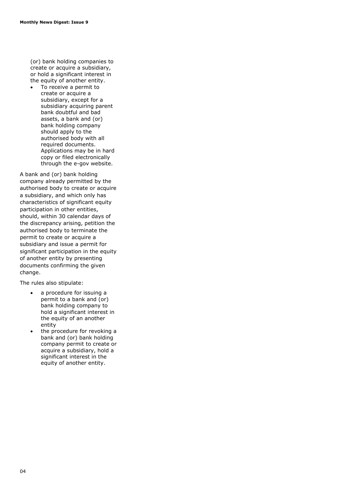(or) bank holding companies to create or acquire a subsidiary, or hold a significant interest in the equity of another entity.

 To receive a permit to create or acquire a subsidiary, except for a subsidiary acquiring parent bank doubtful and bad assets, a bank and (or) bank holding company should apply to the authorised body with all required documents. Applications may be in hard copy or filed electronically through the e-gov website.

A bank and (or) bank holding company already permitted by the authorised body to create or acquire a subsidiary, and which only has characteristics of significant equity participation in other entities, should, within 30 calendar days of the discrepancy arising, petition the authorised body to terminate the permit to create or acquire a subsidiary and issue a permit for significant participation in the equity of another entity by presenting documents confirming the given change.

The rules also stipulate:

- a procedure for issuing a permit to a bank and (or) bank holding company to hold a significant interest in the equity of an another entity
- the procedure for revoking a bank and (or) bank holding company permit to create or acquire a subsidiary, hold a significant interest in the equity of another entity.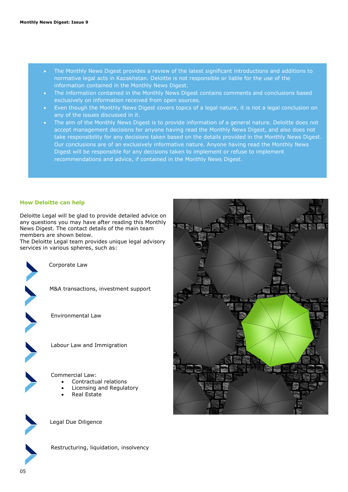- The Monthly News Digest provides a review of the latest significant introductions and additions to normative legal acts in Kazakhstan. Deloitte is not responsible or liable for the use of the information contained in the Monthly News Digest.
- The information contained in the Monthly News Digest contains comments and conclusions based exclusively on information received from open sources.
- Even though the Monthly News Digest covers topics of a legal nature, it is not a legal conclusion on any of the issues discussed in it.
- The aim of the Monthly News Digest is to provide information of a general nature. Deloitte does not accept management decisions for anyone having read the Monthly News Digest, and also does not take responsibility for any decisions taken based on the details provided in the Monthly News Digest. Our conclusions are of an exclusively informative nature. Anyone having read the Monthly News Digest will be responsible for any decisions taken to implement or refuse to implement recommendations and advice, if contained in the Monthly News Digest.

#### **How Deloitte can help**

Deloitte Legal will be glad to provide detailed advice on any questions you may have after reading this Monthly News Digest. The contact details of the main team members are shown below.

The Deloitte Legal team provides unique legal advisory services in various spheres, such as:



Corporate Law



M&A transactions, investment support

Environmental Law



Labour Law and Immigration

Commercial Law:

- Contractual relations
- Licensing and Regulatory
- Real Estate



Legal Due Diligence



Restructuring, liquidation, insolvency